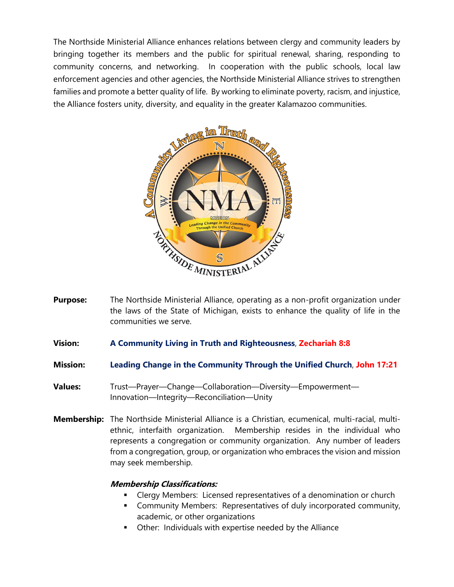The Northside Ministerial Alliance enhances relations between clergy and community leaders by bringing together its members and the public for spiritual renewal, sharing, responding to community concerns, and networking. In cooperation with the public schools, local law enforcement agencies and other agencies, the Northside Ministerial Alliance strives to strengthen families and promote a better quality of life. By working to eliminate poverty, racism, and injustice, the Alliance fosters unity, diversity, and equality in the greater Kalamazoo communities.



- **Purpose:** The Northside Ministerial Alliance, operating as a non-profit organization under the laws of the State of Michigan, exists to enhance the quality of life in the communities we serve.
- **Vision: A Community Living in Truth and Righteousness**, **Zechariah 8:8**
- **Mission: Leading Change in the Community Through the Unified Church**, **John 17:21**
- **Values:** Trust—Prayer—Change—Collaboration—Diversity—Empowerment— Innovation—Integrity—Reconciliation—Unity
- **Membership:** The Northside Ministerial Alliance is a Christian, ecumenical, multi-racial, multiethnic, interfaith organization. Membership resides in the individual who represents a congregation or community organization. Any number of leaders from a congregation, group, or organization who embraces the vision and mission may seek membership.

## **Membership Classifications:**

- Clergy Members: Licensed representatives of a denomination or church
- Community Members: Representatives of duly incorporated community, academic, or other organizations
- **•** Other: Individuals with expertise needed by the Alliance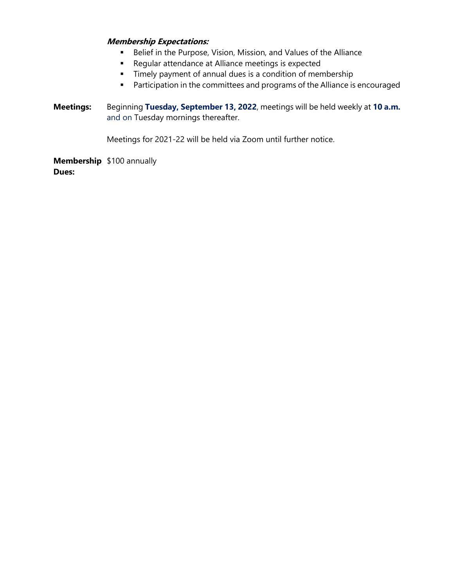## **Membership Expectations:**

- **Belief in the Purpose, Vision, Mission, and Values of the Alliance**
- **Regular attendance at Alliance meetings is expected**
- Timely payment of annual dues is a condition of membership
- **Participation in the committees and programs of the Alliance is encouraged**
- **Meetings:** Beginning **Tuesday, September 13, 2022**, meetings will be held weekly at **10 a.m.** and on Tuesday mornings thereafter.

Meetings for 2021-22 will be held via Zoom until further notice.

**Membership** \$100 annually **Dues:**